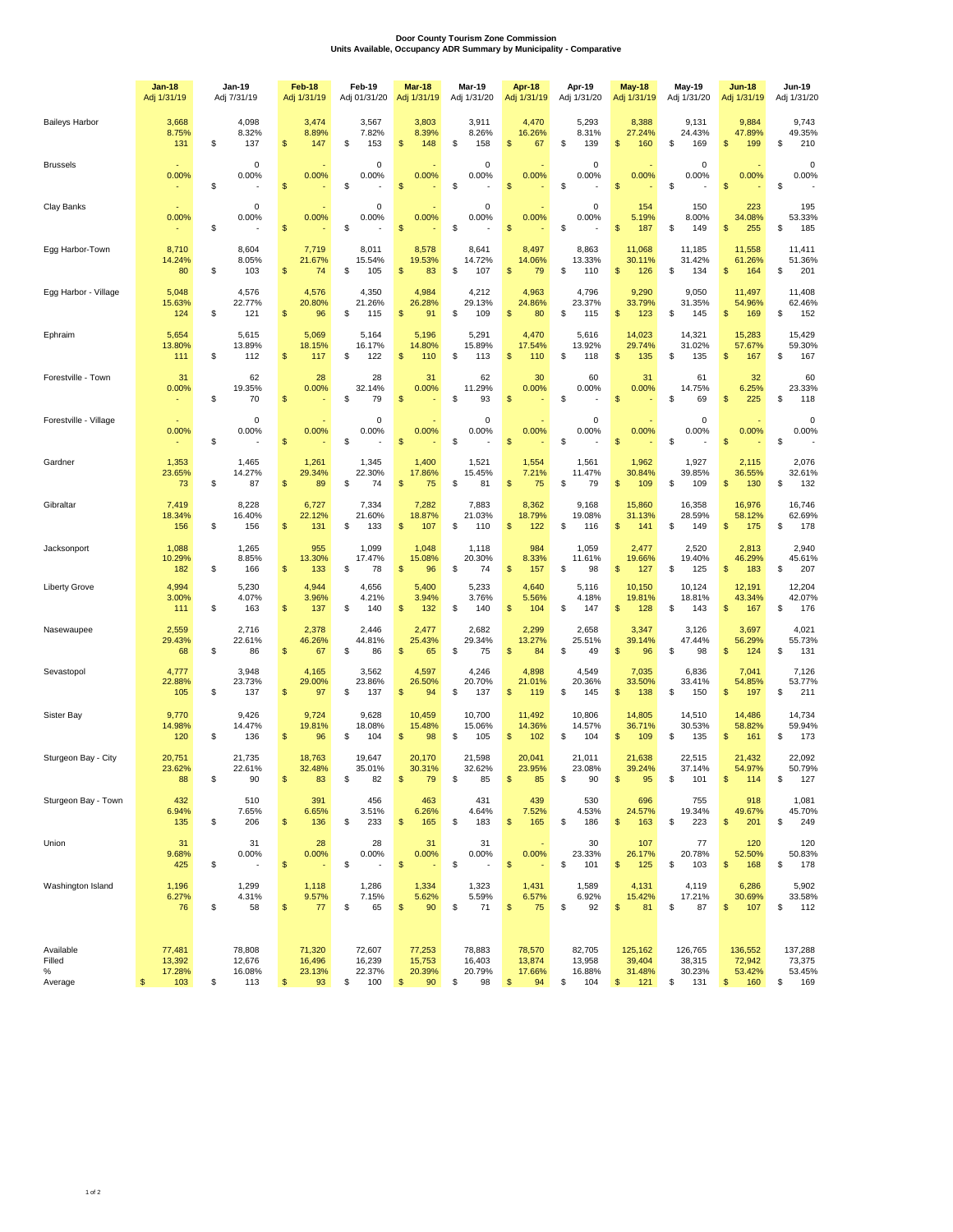## **Door County Tourism Zone Commission Units Available, Occupancy ADR Summary by Municipality - Comparative**

|                                        | <b>Jan-18</b><br>Adj 1/31/19      | Jan-19<br>Adj 7/31/19                   | Feb-18<br>Adj 1/31/19                  | Feb-19<br>Adj 01/31/20                  | Mar-18<br>Adj 1/31/19                  | Mar-19<br>Adj 1/31/20                  | Apr 18<br>Adj 1/31/19                  | Apr-19<br>Adj 1/31/20                   | <b>May-18</b><br>Adj 1/31/19             | May-19<br>Adj 1/31/20                    | <b>Jun-18</b><br>Adj 1/31/19             | Jun-19<br>Adj 1/31/20                    |
|----------------------------------------|-----------------------------------|-----------------------------------------|----------------------------------------|-----------------------------------------|----------------------------------------|----------------------------------------|----------------------------------------|-----------------------------------------|------------------------------------------|------------------------------------------|------------------------------------------|------------------------------------------|
| <b>Baileys Harbor</b>                  | 3,668<br>8.75%<br>131             | 4,098<br>8.32%<br>\$<br>137             | 3,474<br>8.89%<br>\$<br>147            | 3,567<br>7.82%<br>\$<br>153             | 3,803<br>8.39%<br>\$<br>148            | 3,911<br>8.26%<br>\$<br>158            | 4,470<br>16.26%<br>\$<br>67            | 5,293<br>8.31%<br>\$<br>139             | 8,388<br>27.24%<br>\$<br>160             | 9,131<br>24.43%<br>\$<br>169             | 9,884<br>47.89%<br>\$<br>199             | 9,743<br>49.35%<br>210<br>\$             |
| <b>Brussels</b>                        | ٠<br>0.00%                        | 0<br>0.00%<br>\$                        | 0.00%<br>\$                            | 0<br>0.00%<br>\$                        | 0.00%<br>\$                            | 0<br>0.00%<br>\$                       | 0.00%<br>\$                            | 0<br>0.00%<br>\$                        | 0.00%<br>\$                              | $^{\circ}$<br>0.00%<br>\$                | 0.00%<br>\$                              | $\pmb{0}$<br>0.00%<br>\$                 |
| Clay Banks                             | 0.00%                             | 0<br>0.00%<br>\$                        | 0.00%<br>\$                            | $\mathbf 0$<br>0.00%<br>\$              | 0.00%<br>\$                            | 0<br>0.00%<br>\$                       | 0.00%<br>\$                            | $\mathsf 0$<br>0.00%<br>\$              | 154<br>5.19%<br>\$<br>187                | 150<br>8.00%<br>\$<br>149                | 223<br>34.08%<br>255<br>\$               | 195<br>53.33%<br>\$<br>185               |
| Egg Harbor-Town                        | 8,710<br>14.24%<br>80             | 8,604<br>8.05%<br>S<br>103              | 7,719<br>21.67%<br>\$<br>74            | 8,011<br>15.54%<br>\$<br>105            | 8,578<br>19.53%<br>\$<br>83            | 8,641<br>14.72%<br>\$<br>107           | 8,497<br>14.06%<br>\$<br>79            | 8,863<br>13.33%<br>\$<br>110            | 11,068<br>30.11%<br>\$<br>126            | 11,185<br>31.42%<br>\$<br>134            | 11,558<br>61.26%<br>\$<br>164            | 11,411<br>51.36%<br>\$<br>201            |
| Egg Harbor - Village                   | 5,048<br>15.63%<br>124            | 4,576<br>22.77%<br>\$<br>121            | 4,576<br>20.80%<br>\$<br>96            | 4,350<br>21.26%<br>\$<br>115            | 4,984<br>26.28%<br>\$<br>91            | 4,212<br>29.13%<br>\$<br>109           | 4,963<br>24.86%<br>\$<br>80            | 4,796<br>23.37%<br>\$<br>115            | 9,290<br>33.79%<br>\$<br>123             | 9,050<br>31.35%<br>\$<br>145             | 11,497<br>54.96%<br>\$<br>169            | 11,408<br>62.46%<br>\$<br>152            |
| Ephraim                                | 5,654<br>13.80%<br>111            | 5,615<br>13.89%<br>\$<br>112            | 5,069<br>18.15%<br>\$<br>117           | 5,164<br>16.17%<br>122<br>\$            | 5,196<br>14.80%<br>110<br>\$           | 5,291<br>15.89%<br>\$<br>113           | 4,470<br>17.54%<br>\$<br>110           | 5,616<br>13.92%<br>\$<br>118            | 14,023<br>29.74%<br>135<br>\$            | 14,321<br>31.02%<br>\$<br>135            | 15,283<br>57.67%<br>167<br>\$            | 15,429<br>59.30%<br>167<br>\$            |
| Forestville - Town                     | 31<br>0.00%                       | 62<br>19.35%<br>\$<br>70                | 28<br>0.00%<br>\$                      | 28<br>32.14%<br>\$<br>79                | 31<br>0.00%<br>\$                      | 62<br>11.29%<br>\$<br>93               | 30<br>0.00%<br>\$                      | 60<br>0.00%<br>\$                       | 31<br>0.00%<br>\$                        | 61<br>14.75%<br>\$<br>69                 | 32<br>6.25%<br>\$<br>225                 | 60<br>23.33%<br>\$<br>118                |
| Forestville - Village                  | ×<br>0.00%                        | 0<br>0.00%<br>\$                        | 0.00%<br>\$                            | 0<br>0.00%<br>\$                        | 0.00%<br>\$                            | 0<br>0.00%<br>\$                       | 0.00%<br>\$                            | 0<br>0.00%<br>\$                        | 0.00%<br>\$                              | 0<br>0.00%<br>\$                         | 0.00%<br>\$                              | $\pmb{0}$<br>0.00%<br>\$                 |
| Gardner                                | 1,353<br>23.65%<br>73             | 1,465<br>14.27%<br>\$<br>87             | 1,261<br>29.34%<br>\$<br>89            | 1,345<br>22.30%<br>\$<br>74             | 1,400<br>17.86%<br>\$<br>75            | 1,521<br>15.45%<br>\$<br>81            | 1,554<br>7.21%<br>\$<br>75             | 1,561<br>11.47%<br>\$<br>79             | 1,962<br>30.84%<br>\$<br>109             | 1,927<br>39.85%<br>\$<br>109             | 2,115<br>36.55%<br>\$<br>130             | 2,076<br>32.61%<br>132<br>\$             |
| Gibraltar                              | 7,419<br>18.34%<br>156            | 8,228<br>16.40%<br>\$<br>156            | 6,727<br>22.12%<br>\$<br>131           | 7,334<br>21.60%<br>\$<br>133            | 7,282<br>18.87%<br>107<br>\$           | 7,883<br>21.03%<br>\$<br>110           | 8,362<br>18.79%<br>\$<br>122           | 9,168<br>19.08%<br>\$<br>116            | 15,860<br>31.13%<br>\$<br>141            | 16,358<br>28.59%<br>\$<br>149            | 16,976<br>58.12%<br>\$<br>175            | 16,746<br>62.69%<br>178<br>\$            |
| Jacksonport                            | 1,088<br>10.29%<br>182            | 1,265<br>8.85%<br>S<br>166              | 955<br>13.30%<br>\$<br>133             | 1,099<br>17.47%<br>\$<br>78             | 1,048<br>15.08%<br>\$<br>96            | 1,118<br>20.30%<br>\$<br>74            | 984<br>8.33%<br>\$<br>157              | 1,059<br>11.61%<br>98<br>\$             | 2,477<br>19.66%<br>\$<br>127             | 2,520<br>19.40%<br>\$<br>125             | 2,813<br>46.29%<br>\$<br>183             | 2,940<br>45.61%<br>207<br>S              |
| <b>Liberty Grove</b>                   | 4,994<br>3.00%<br>111             | 5,230<br>4.07%<br>\$<br>163             | 4,944<br>3.96%<br>\$<br>137            | 4,656<br>4.21%<br>\$<br>140             | 5,400<br>3.94%<br>\$<br>132            | 5,233<br>3.76%<br>\$<br>140            | 4,640<br>5.56%<br>\$<br>104            | 5,116<br>4.18%<br>\$<br>147             | 10,150<br>19.81%<br>\$<br>128            | 10,124<br>18.81%<br>\$<br>143            | 12,191<br>43.34%<br>\$<br>167            | 12,204<br>42.07%<br>176<br>S             |
| Nasewaupee                             | 2,559<br>29.43%<br>68             | 2,716<br>22.61%<br>\$<br>86             | 2,378<br>46.26%<br>\$<br>67            | 2,446<br>44.81%<br>\$<br>86             | 2,477<br>25.43%<br>\$<br>65            | 2,682<br>29.34%<br>\$<br>75            | 2,299<br>13.27%<br>\$<br>84            | 2,658<br>25.51%<br>\$<br>49             | 3,347<br>39.14%<br>\$<br>96              | 3,126<br>47.44%<br>\$<br>98              | 3,697<br>56.29%<br>S<br>124              | 4,021<br>55.73%<br>\$<br>131             |
| Sevastopol                             | 4,777<br>22.88%<br>105            | 3,948<br>23.73%<br>\$<br>137            | 4,165<br>29.00%<br>\$<br>97            | 3,562<br>23.86%<br>137<br>\$            | 4,597<br>26.50%<br>\$<br>94            | 4,246<br>20.70%<br>\$<br>137           | 4,898<br>21.01%<br>119<br>\$           | 4,549<br>20.36%<br>145<br>\$            | 7,035<br>33.50%<br>138<br>\$             | 6,836<br>33.41%<br>\$<br>150             | 7,041<br>54.85%<br>\$<br>197             | 7,126<br>53.77%<br>211<br>S              |
| Sister Bay                             | 9,770<br>14.98%<br>120            | 9,426<br>14.47%<br>136<br>\$            | 9,724<br>19.81%<br>\$<br>96            | 9,628<br>18.08%<br>\$<br>104            | 10,459<br>15.48%<br>98<br>\$           | 10,700<br>15.06%<br>105<br>\$          | 11,492<br>14.36%<br>102<br>\$          | 10,806<br>14.57%<br>104<br>\$           | 14,805<br>36.71%<br>\$<br>109            | 14,510<br>30.53%<br>\$<br>135            | 14,486<br>58.82%<br>\$<br>161            | 14,734<br>59.94%<br>173<br>\$            |
| Sturgeon Bay - City                    | 20,751<br>23.62%<br>88            | 21,735<br>22.61%<br>90<br>\$            | 18,763<br>32.48%<br>\$<br>83           | 19,647<br>35.01%<br>\$<br>82            | 20,170<br>30.31%<br>\$<br>79           | 21,598<br>32.62%<br>\$<br>85           | 20,041<br>23.95%<br>\$<br>85           | 21,011<br>23.08%<br>\$<br>90            | 21,638<br>39.24%<br>\$<br>95             | 22,515<br>37.14%<br>\$<br>101            | 21,432<br>54.97%<br>\$<br>114            | 22,092<br>50.79%<br>\$<br>127            |
| Sturgeon Bay - Town                    | 432<br>6.94%<br>135               | 510<br>7.65%<br>\$<br>206               | 391<br>6.65%<br>\$<br>136              | 456<br>3.51%<br>\$<br>233               | 463<br>6.26%<br>$\frac{1}{2}$<br>165   | 431<br>4.64%<br>\$<br>183              | 439<br>7.52%<br>\$<br>165              | 530<br>4.53%<br>\$<br>186               | 696<br>24.57%<br>\$<br>163               | 755<br>19.34%<br>\$<br>223               | 918<br>49.67%<br>\$<br>201               | 1,081<br>45.70%<br>249<br>\$             |
| Union                                  | 31<br>9.68%<br>425                | 31<br>0.00%<br>\$                       | 28<br>0.00%<br>\$                      | 28<br>0.00%<br>\$                       | 31<br>0.00%<br>$\frac{1}{2}$           | 31<br>0.00%<br>\$                      | 0.00%<br>$$\mathbb{S}$$                | 30<br>23.33%<br>\$<br>101               | 107<br>26.17%<br>\$<br>125               | 77<br>20.78%<br>\$<br>103                | 120<br>52.50%<br>\$<br>168               | 120<br>50.83%<br>\$<br>178               |
| Washington Island                      | 1,196<br>6.27%<br>76              | 1,299<br>4.31%<br>\$<br>58              | 1,118<br>9.57%<br>\$<br>77             | 1,286<br>7.15%<br>\$<br>65              | 1,334<br>5.62%<br>$\frac{1}{2}$<br>90  | 1,323<br>5.59%<br>\$<br>71             | 1,431<br>6.57%<br>\$<br>75             | 1,589<br>6.92%<br>\$<br>92              | 4,131<br>15.42%<br>\$<br>81              | 4,119<br>17.21%<br>\$<br>87              | 6,286<br>30.69%<br>\$<br>107             | 5,902<br>33.58%<br>\$<br>112             |
| Available<br>Filled<br>$\%$<br>Average | 77,481<br>13,392<br>17.28%<br>103 | 78,808<br>12,676<br>16.08%<br>\$<br>113 | 71,320<br>16,496<br>23.13%<br>93<br>\$ | 72,607<br>16,239<br>22.37%<br>100<br>\$ | 77,253<br>15,753<br>20.39%<br>90<br>\$ | 78,883<br>16,403<br>20.79%<br>98<br>\$ | 78,570<br>13,874<br>17.66%<br>94<br>\$ | 82,705<br>13,958<br>16.88%<br>104<br>\$ | 125,162<br>39,404<br>31.48%<br>121<br>\$ | 126,765<br>38,315<br>30.23%<br>\$<br>131 | 136,552<br>72,942<br>53.42%<br>160<br>\$ | 137,288<br>73,375<br>53.45%<br>169<br>\$ |